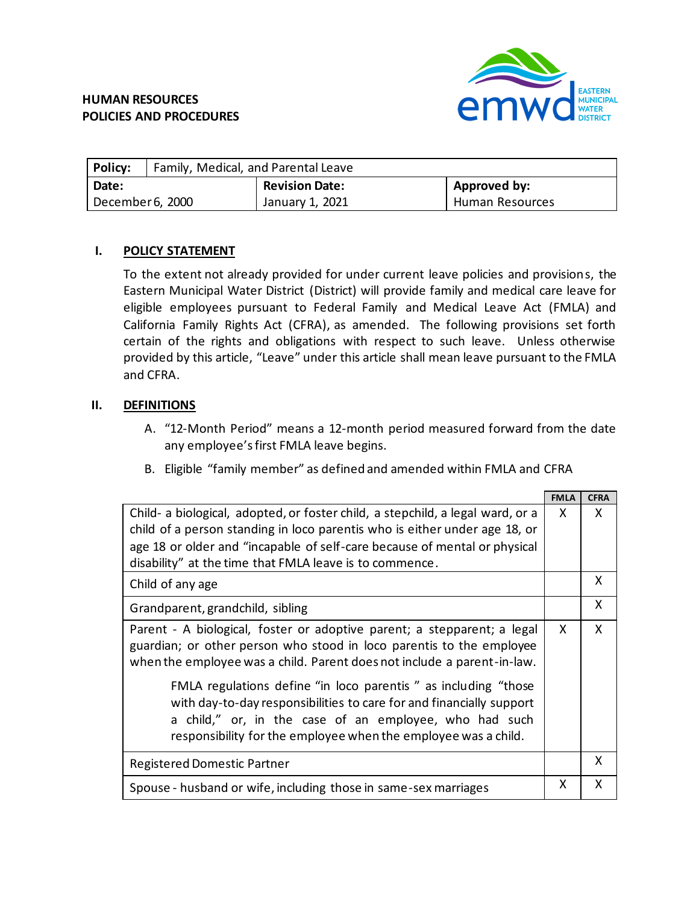

| Policy:          | Family, Medical, and Parental Leave |                       |                 |  |  |
|------------------|-------------------------------------|-----------------------|-----------------|--|--|
| Date:            |                                     | <b>Revision Date:</b> | Approved by:    |  |  |
| December 6, 2000 |                                     | January 1, 2021       | Human Resources |  |  |

# **I. POLICY STATEMENT**

To the extent not already provided for under current leave policies and provisions, the Eastern Municipal Water District (District) will provide family and medical care leave for eligible employees pursuant to Federal Family and Medical Leave Act (FMLA) and California Family Rights Act (CFRA), as amended. The following provisions set forth certain of the rights and obligations with respect to such leave. Unless otherwise provided by this article, "Leave" under this article shall mean leave pursuant to the FMLA and CFRA.

# **II. DEFINITIONS**

- A. "12-Month Period" means a 12-month period measured forward from the date any employee's first FMLA leave begins.
- B. Eligible "family member" as defined and amended within FMLA and CFRA

|                                                                                                                                                                                                                                                                     | <b>FMLA</b> | <b>CFRA</b> |
|---------------------------------------------------------------------------------------------------------------------------------------------------------------------------------------------------------------------------------------------------------------------|-------------|-------------|
| Child- a biological, adopted, or foster child, a stepchild, a legal ward, or a<br>child of a person standing in loco parentis who is either under age 18, or                                                                                                        |             | X           |
| age 18 or older and "incapable of self-care because of mental or physical                                                                                                                                                                                           |             |             |
| disability" at the time that FMLA leave is to commence.                                                                                                                                                                                                             |             |             |
| Child of any age                                                                                                                                                                                                                                                    |             | X           |
| Grandparent, grandchild, sibling                                                                                                                                                                                                                                    |             | X           |
| Parent - A biological, foster or adoptive parent; a stepparent; a legal<br>guardian; or other person who stood in loco parentis to the employee<br>when the employee was a child. Parent does not include a parent-in-law.                                          |             | X           |
| FMLA regulations define "in loco parentis " as including "those<br>with day-to-day responsibilities to care for and financially support<br>a child," or, in the case of an employee, who had such<br>responsibility for the employee when the employee was a child. |             |             |
| Registered Domestic Partner                                                                                                                                                                                                                                         |             | X           |
| Spouse - husband or wife, including those in same-sex marriages                                                                                                                                                                                                     |             | X           |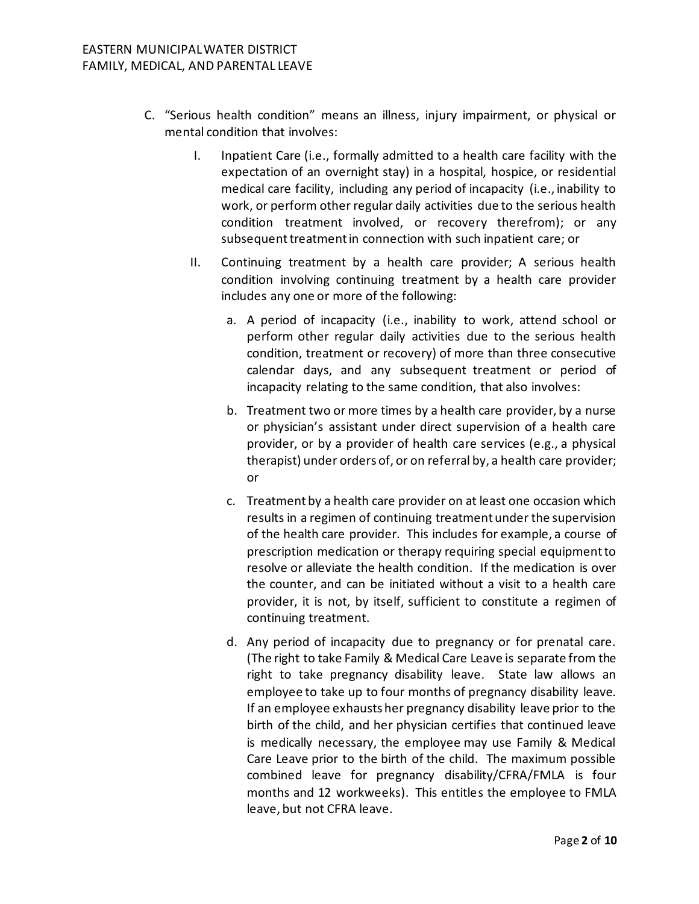- C. "Serious health condition" means an illness, injury impairment, or physical or mental condition that involves:
	- I. Inpatient Care (i.e., formally admitted to a health care facility with the expectation of an overnight stay) in a hospital, hospice, or residential medical care facility, including any period of incapacity (i.e., inability to work, or perform other regular daily activities due to the serious health condition treatment involved, or recovery therefrom); or any subsequent treatment in connection with such inpatient care; or
	- II. Continuing treatment by a health care provider; A serious health condition involving continuing treatment by a health care provider includes any one or more of the following:
		- a. A period of incapacity (i.e., inability to work, attend school or perform other regular daily activities due to the serious health condition, treatment or recovery) of more than three consecutive calendar days, and any subsequent treatment or period of incapacity relating to the same condition, that also involves:
		- b. Treatment two or more times by a health care provider, by a nurse or physician's assistant under direct supervision of a health care provider, or by a provider of health care services (e.g., a physical therapist) under orders of, or on referral by, a health care provider; or
		- c. Treatment by a health care provider on at least one occasion which results in a regimen of continuing treatment under the supervision of the health care provider. This includes for example, a course of prescription medication or therapy requiring special equipment to resolve or alleviate the health condition. If the medication is over the counter, and can be initiated without a visit to a health care provider, it is not, by itself, sufficient to constitute a regimen of continuing treatment.
		- d. Any period of incapacity due to pregnancy or for prenatal care. (The right to take Family & Medical Care Leave is separate from the right to take pregnancy disability leave. State law allows an employee to take up to four months of pregnancy disability leave. If an employee exhausts her pregnancy disability leave prior to the birth of the child, and her physician certifies that continued leave is medically necessary, the employee may use Family & Medical Care Leave prior to the birth of the child. The maximum possible combined leave for pregnancy disability/CFRA/FMLA is four months and 12 workweeks). This entitles the employee to FMLA leave, but not CFRA leave.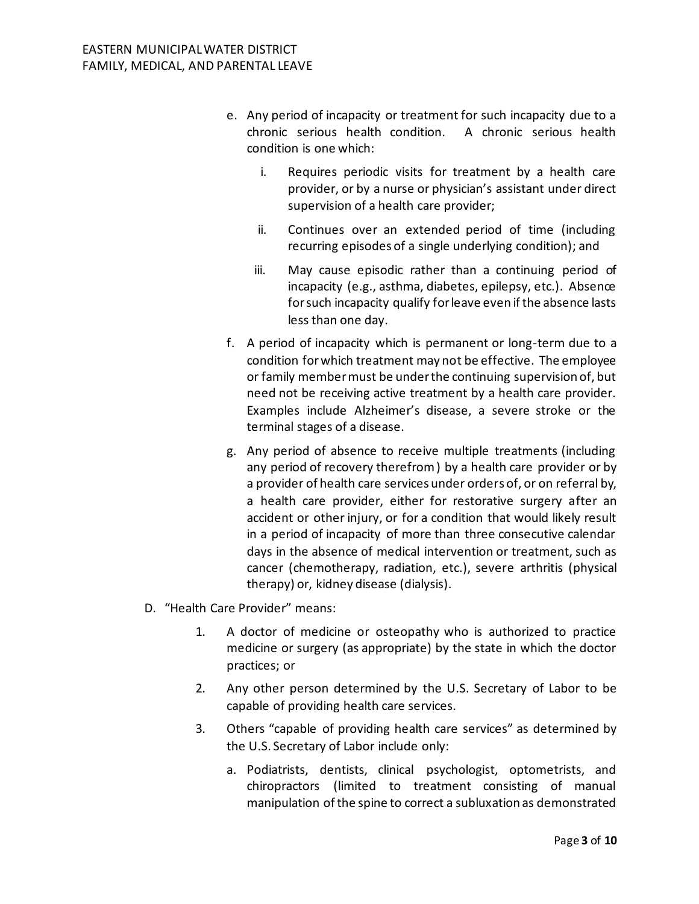- e. Any period of incapacity or treatment for such incapacity due to a chronic serious health condition. A chronic serious health condition is one which:
	- i. Requires periodic visits for treatment by a health care provider, or by a nurse or physician's assistant under direct supervision of a health care provider;
	- ii. Continues over an extended period of time (including recurring episodes of a single underlying condition); and
	- iii. May cause episodic rather than a continuing period of incapacity (e.g., asthma, diabetes, epilepsy, etc.). Absence for such incapacity qualify for leave even if the absence lasts less than one day.
- f. A period of incapacity which is permanent or long-term due to a condition for which treatment may not be effective. The employee or family member must be under the continuing supervision of, but need not be receiving active treatment by a health care provider. Examples include Alzheimer's disease, a severe stroke or the terminal stages of a disease.
- g. Any period of absence to receive multiple treatments (including any period of recovery therefrom ) by a health care provider or by a provider of health care services under orders of, or on referral by, a health care provider, either for restorative surgery after an accident or other injury, or for a condition that would likely result in a period of incapacity of more than three consecutive calendar days in the absence of medical intervention or treatment, such as cancer (chemotherapy, radiation, etc.), severe arthritis (physical therapy) or, kidney disease (dialysis).
- D. "Health Care Provider" means:
	- 1. A doctor of medicine or osteopathy who is authorized to practice medicine or surgery (as appropriate) by the state in which the doctor practices; or
	- 2. Any other person determined by the U.S. Secretary of Labor to be capable of providing health care services.
	- 3. Others "capable of providing health care services" as determined by the U.S. Secretary of Labor include only:
		- a. Podiatrists, dentists, clinical psychologist, optometrists, and chiropractors (limited to treatment consisting of manual manipulation of the spine to correct a subluxation as demonstrated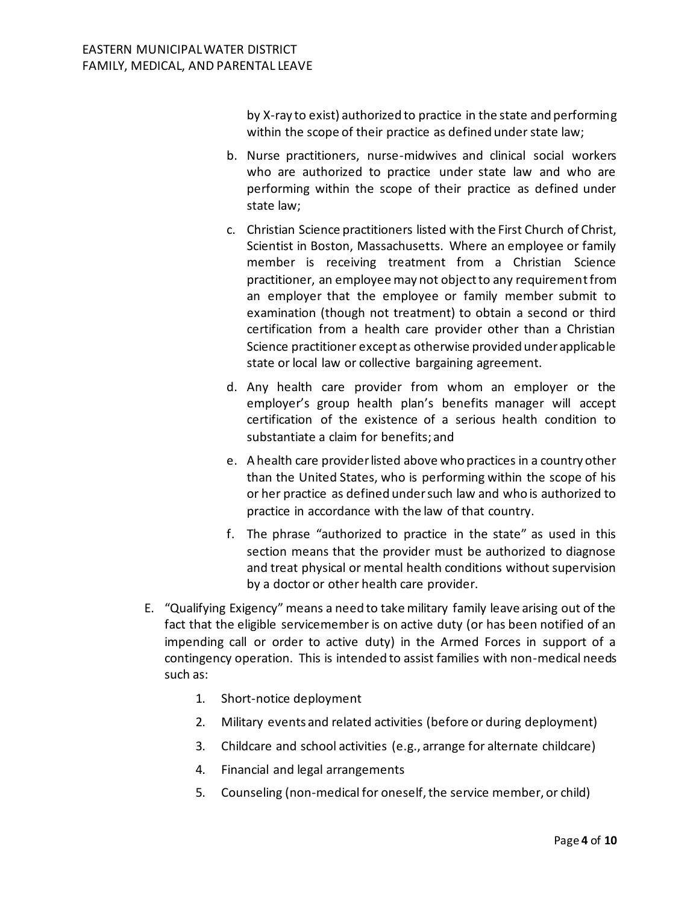by X-ray to exist) authorized to practice in the state and performing within the scope of their practice as defined under state law;

- b. Nurse practitioners, nurse-midwives and clinical social workers who are authorized to practice under state law and who are performing within the scope of their practice as defined under state law;
- c. Christian Science practitioners listed with the First Church of Christ, Scientist in Boston, Massachusetts. Where an employee or family member is receiving treatment from a Christian Science practitioner, an employee may not object to any requirement from an employer that the employee or family member submit to examination (though not treatment) to obtain a second or third certification from a health care provider other than a Christian Science practitioner except as otherwise provided under applicable state or local law or collective bargaining agreement.
- d. Any health care provider from whom an employer or the employer's group health plan's benefits manager will accept certification of the existence of a serious health condition to substantiate a claim for benefits; and
- e. A health care provider listed above who practices in a country other than the United States, who is performing within the scope of his or her practice as defined under such law and who is authorized to practice in accordance with the law of that country.
- f. The phrase "authorized to practice in the state" as used in this section means that the provider must be authorized to diagnose and treat physical or mental health conditions without supervision by a doctor or other health care provider.
- E. "Qualifying Exigency" means a need to take military family leave arising out of the fact that the eligible servicemember is on active duty (or has been notified of an impending call or order to active duty) in the Armed Forces in support of a contingency operation. This is intended to assist families with non-medical needs such as:
	- 1. Short-notice deployment
	- 2. Military events and related activities (before or during deployment)
	- 3. Childcare and school activities (e.g., arrange for alternate childcare)
	- 4. Financial and legal arrangements
	- 5. Counseling (non-medical for oneself, the service member, or child)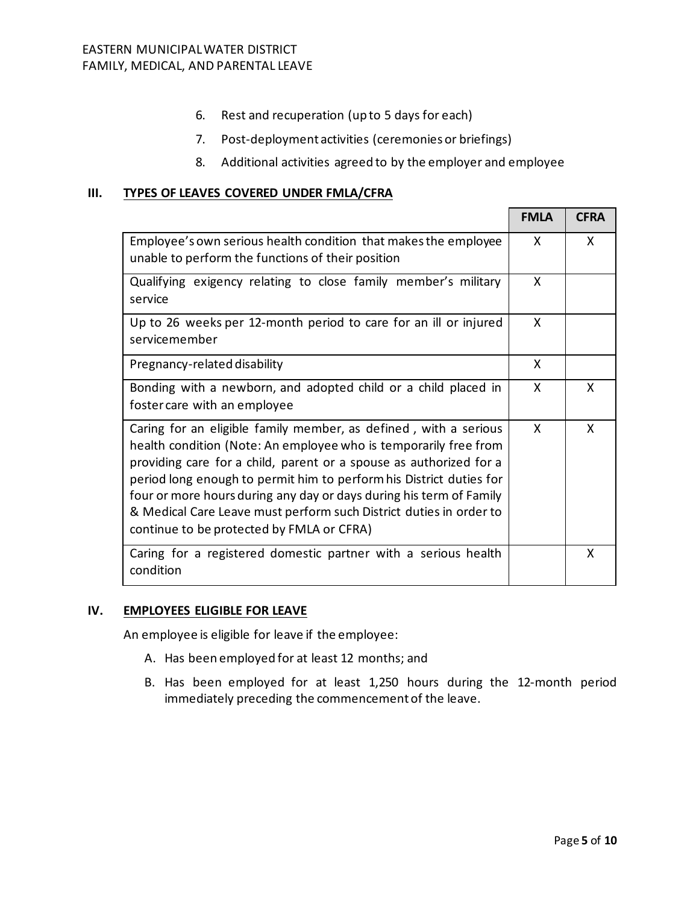- 6. Rest and recuperation (up to 5 days for each)
- 7. Post-deployment activities (ceremonies or briefings)
- 8. Additional activities agreed to by the employer and employee

## **III. TYPES OF LEAVES COVERED UNDER FMLA/CFRA**

|                                                                                                                                                                                                                                                                                                                                                                                                                                                                             | <b>FMLA</b>  | <b>CFRA</b> |
|-----------------------------------------------------------------------------------------------------------------------------------------------------------------------------------------------------------------------------------------------------------------------------------------------------------------------------------------------------------------------------------------------------------------------------------------------------------------------------|--------------|-------------|
| Employee's own serious health condition that makes the employee<br>unable to perform the functions of their position                                                                                                                                                                                                                                                                                                                                                        |              | X           |
| Qualifying exigency relating to close family member's military<br>service                                                                                                                                                                                                                                                                                                                                                                                                   |              |             |
| Up to 26 weeks per 12-month period to care for an ill or injured<br>servicemember                                                                                                                                                                                                                                                                                                                                                                                           | X            |             |
| Pregnancy-related disability                                                                                                                                                                                                                                                                                                                                                                                                                                                |              |             |
| Bonding with a newborn, and adopted child or a child placed in<br>foster care with an employee                                                                                                                                                                                                                                                                                                                                                                              |              | X.          |
| Caring for an eligible family member, as defined, with a serious<br>health condition (Note: An employee who is temporarily free from<br>providing care for a child, parent or a spouse as authorized for a<br>period long enough to permit him to perform his District duties for<br>four or more hours during any day or days during his term of Family<br>& Medical Care Leave must perform such District duties in order to<br>continue to be protected by FMLA or CFRA) | $\mathsf{x}$ | X           |
| Caring for a registered domestic partner with a serious health<br>condition                                                                                                                                                                                                                                                                                                                                                                                                 |              | X           |

## **IV. EMPLOYEES ELIGIBLE FOR LEAVE**

An employee is eligible for leave if the employee:

- A. Has been employed for at least 12 months; and
- B. Has been employed for at least 1,250 hours during the 12-month period immediately preceding the commencement of the leave.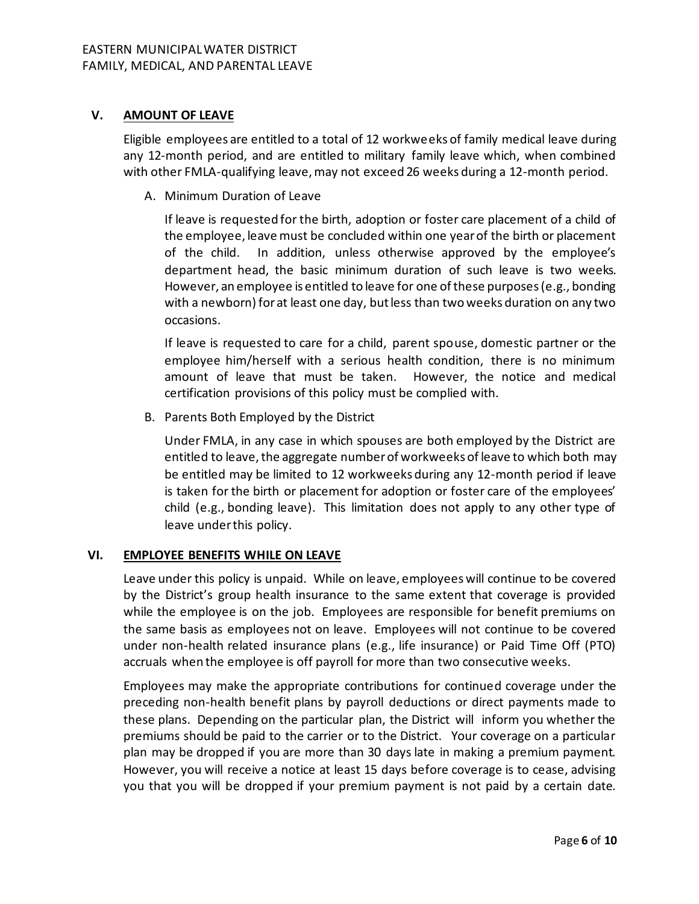# **V. AMOUNT OF LEAVE**

Eligible employees are entitled to a total of 12 workweeks of family medical leave during any 12-month period, and are entitled to military family leave which, when combined with other FMLA-qualifying leave, may not exceed 26 weeks during a 12-month period.

A. Minimum Duration of Leave

If leave is requested for the birth, adoption or foster care placement of a child of the employee, leave must be concluded within one year of the birth or placement of the child. In addition, unless otherwise approved by the employee's department head, the basic minimum duration of such leave is two weeks. However, an employee is entitled to leave for one of these purposes (e.g., bonding with a newborn) for at least one day, but less than two weeks duration on any two occasions.

If leave is requested to care for a child, parent spouse, domestic partner or the employee him/herself with a serious health condition, there is no minimum amount of leave that must be taken. However, the notice and medical certification provisions of this policy must be complied with.

B. Parents Both Employed by the District

Under FMLA, in any case in which spouses are both employed by the District are entitled to leave, the aggregate number of workweeks of leave to which both may be entitled may be limited to 12 workweeks during any 12-month period if leave is taken for the birth or placement for adoption or foster care of the employees' child (e.g., bonding leave). This limitation does not apply to any other type of leave under this policy.

# **VI. EMPLOYEE BENEFITS WHILE ON LEAVE**

Leave under this policy is unpaid. While on leave, employees will continue to be covered by the District's group health insurance to the same extent that coverage is provided while the employee is on the job. Employees are responsible for benefit premiums on the same basis as employees not on leave. Employees will not continue to be covered under non-health related insurance plans (e.g., life insurance) or Paid Time Off (PTO) accruals when the employee is off payroll for more than two consecutive weeks.

Employees may make the appropriate contributions for continued coverage under the preceding non-health benefit plans by payroll deductions or direct payments made to these plans. Depending on the particular plan, the District will inform you whether the premiums should be paid to the carrier or to the District. Your coverage on a particular plan may be dropped if you are more than 30 days late in making a premium payment. However, you will receive a notice at least 15 days before coverage is to cease, advising you that you will be dropped if your premium payment is not paid by a certain date.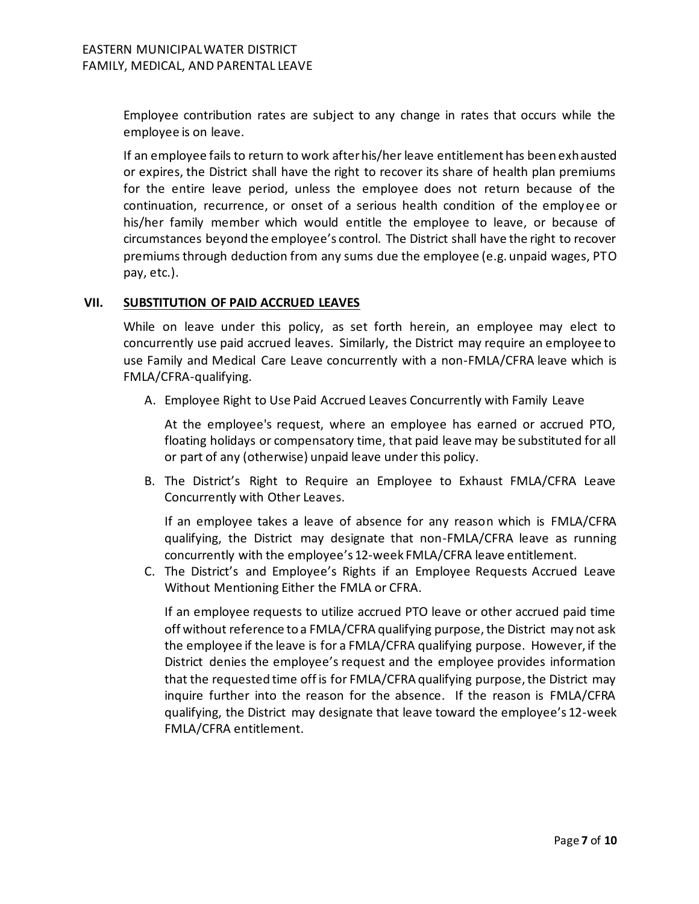Employee contribution rates are subject to any change in rates that occurs while the employee is on leave.

If an employee fails to return to work after his/her leave entitlement has been exhausted or expires, the District shall have the right to recover its share of health plan premiums for the entire leave period, unless the employee does not return because of the continuation, recurrence, or onset of a serious health condition of the employee or his/her family member which would entitle the employee to leave, or because of circumstances beyond the employee's control. The District shall have the right to recover premiums through deduction from any sums due the employee (e.g. unpaid wages, PTO pay, etc.).

## **VII. SUBSTITUTION OF PAID ACCRUED LEAVES**

While on leave under this policy, as set forth herein, an employee may elect to concurrently use paid accrued leaves. Similarly, the District may require an employee to use Family and Medical Care Leave concurrently with a non-FMLA/CFRA leave which is FMLA/CFRA-qualifying.

A. Employee Right to Use Paid Accrued Leaves Concurrently with Family Leave

At the employee's request, where an employee has earned or accrued PTO, floating holidays or compensatory time, that paid leave may be substituted for all or part of any (otherwise) unpaid leave under this policy.

B. The District's Right to Require an Employee to Exhaust FMLA/CFRA Leave Concurrently with Other Leaves.

If an employee takes a leave of absence for any reason which is FMLA/CFRA qualifying, the District may designate that non-FMLA/CFRA leave as running concurrently with the employee's 12-week FMLA/CFRA leave entitlement.

C. The District's and Employee's Rights if an Employee Requests Accrued Leave Without Mentioning Either the FMLA or CFRA.

If an employee requests to utilize accrued PTO leave or other accrued paid time off without reference to a FMLA/CFRA qualifying purpose, the District may not ask the employee if the leave is for a FMLA/CFRA qualifying purpose. However, if the District denies the employee's request and the employee provides information that the requested time off is for FMLA/CFRA qualifying purpose, the District may inquire further into the reason for the absence. If the reason is FMLA/CFRA qualifying, the District may designate that leave toward the employee's 12-week FMLA/CFRA entitlement.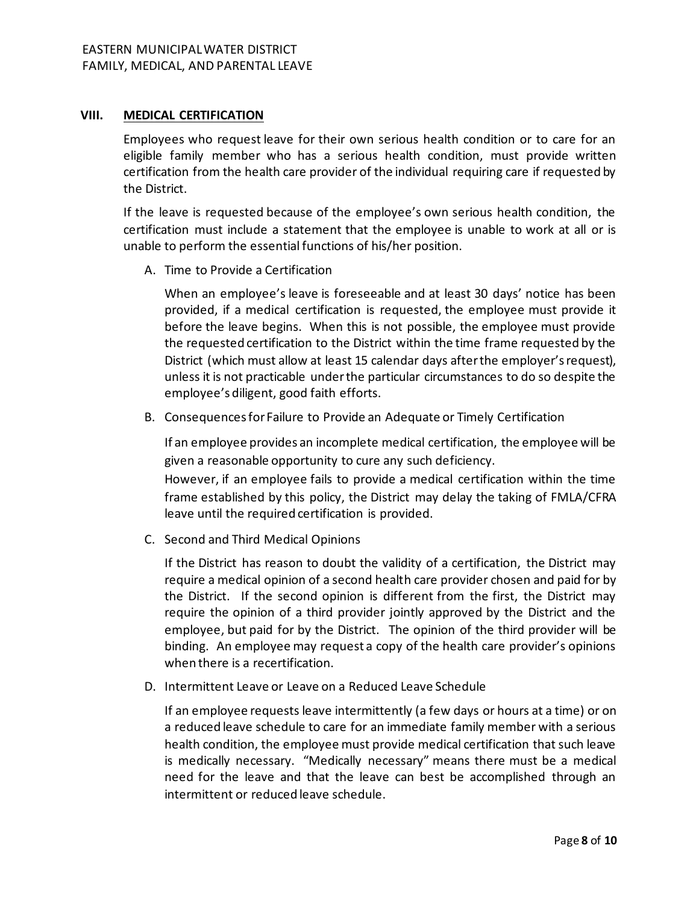#### **VIII. MEDICAL CERTIFICATION**

Employees who request leave for their own serious health condition or to care for an eligible family member who has a serious health condition, must provide written certification from the health care provider of the individual requiring care if requested by the District.

If the leave is requested because of the employee's own serious health condition, the certification must include a statement that the employee is unable to work at all or is unable to perform the essential functions of his/her position.

A. Time to Provide a Certification

When an employee's leave is foreseeable and at least 30 days' notice has been provided, if a medical certification is requested, the employee must provide it before the leave begins. When this is not possible, the employee must provide the requested certification to the District within the time frame requested by the District (which must allow at least 15 calendar days after the employer's request), unless it is not practicable under the particular circumstances to do so despite the employee's diligent, good faith efforts.

B. Consequences for Failure to Provide an Adequate or Timely Certification

If an employee provides an incomplete medical certification, the employee will be given a reasonable opportunity to cure any such deficiency.

However, if an employee fails to provide a medical certification within the time frame established by this policy, the District may delay the taking of FMLA/CFRA leave until the required certification is provided.

C. Second and Third Medical Opinions

If the District has reason to doubt the validity of a certification, the District may require a medical opinion of a second health care provider chosen and paid for by the District. If the second opinion is different from the first, the District may require the opinion of a third provider jointly approved by the District and the employee, but paid for by the District. The opinion of the third provider will be binding. An employee may request a copy of the health care provider's opinions when there is a recertification.

D. Intermittent Leave or Leave on a Reduced Leave Schedule

If an employee requests leave intermittently (a few days or hours at a time) or on a reduced leave schedule to care for an immediate family member with a serious health condition, the employee must provide medical certification that such leave is medically necessary. "Medically necessary" means there must be a medical need for the leave and that the leave can best be accomplished through an intermittent or reduced leave schedule.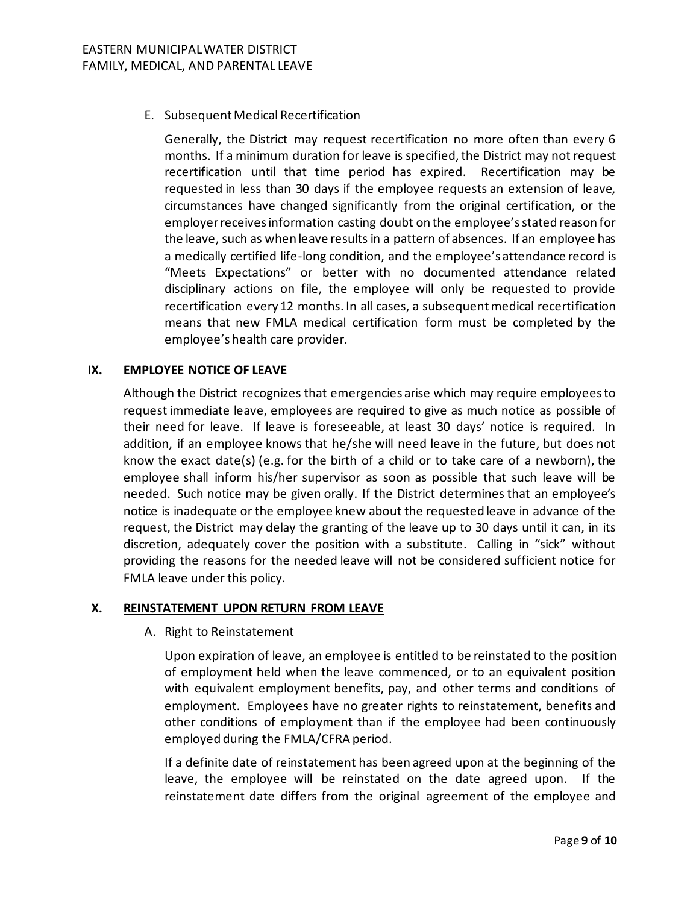E. Subsequent Medical Recertification

Generally, the District may request recertification no more often than every 6 months. If a minimum duration for leave is specified, the District may not request recertification until that time period has expired. Recertification may be requested in less than 30 days if the employee requests an extension of leave, circumstances have changed significantly from the original certification, or the employer receives information casting doubt on the employee's stated reason for the leave, such as when leave results in a pattern of absences. If an employee has a medically certified life-long condition, and the employee's attendance record is "Meets Expectations" or better with no documented attendance related disciplinary actions on file, the employee will only be requested to provide recertification every 12 months. In all cases, a subsequent medical recertification means that new FMLA medical certification form must be completed by the employee's health care provider.

## **IX. EMPLOYEE NOTICE OF LEAVE**

Although the District recognizes that emergencies arise which may require employees to request immediate leave, employees are required to give as much notice as possible of their need for leave. If leave is foreseeable, at least 30 days' notice is required. In addition, if an employee knows that he/she will need leave in the future, but does not know the exact date(s) (e.g. for the birth of a child or to take care of a newborn), the employee shall inform his/her supervisor as soon as possible that such leave will be needed. Such notice may be given orally. If the District determines that an employee's notice is inadequate or the employee knew about the requested leave in advance of the request, the District may delay the granting of the leave up to 30 days until it can, in its discretion, adequately cover the position with a substitute. Calling in "sick" without providing the reasons for the needed leave will not be considered sufficient notice for FMLA leave under this policy.

#### **X. REINSTATEMENT UPON RETURN FROM LEAVE**

A. Right to Reinstatement

Upon expiration of leave, an employee is entitled to be reinstated to the position of employment held when the leave commenced, or to an equivalent position with equivalent employment benefits, pay, and other terms and conditions of employment. Employees have no greater rights to reinstatement, benefits and other conditions of employment than if the employee had been continuously employed during the FMLA/CFRA period.

If a definite date of reinstatement has been agreed upon at the beginning of the leave, the employee will be reinstated on the date agreed upon. If the reinstatement date differs from the original agreement of the employee and